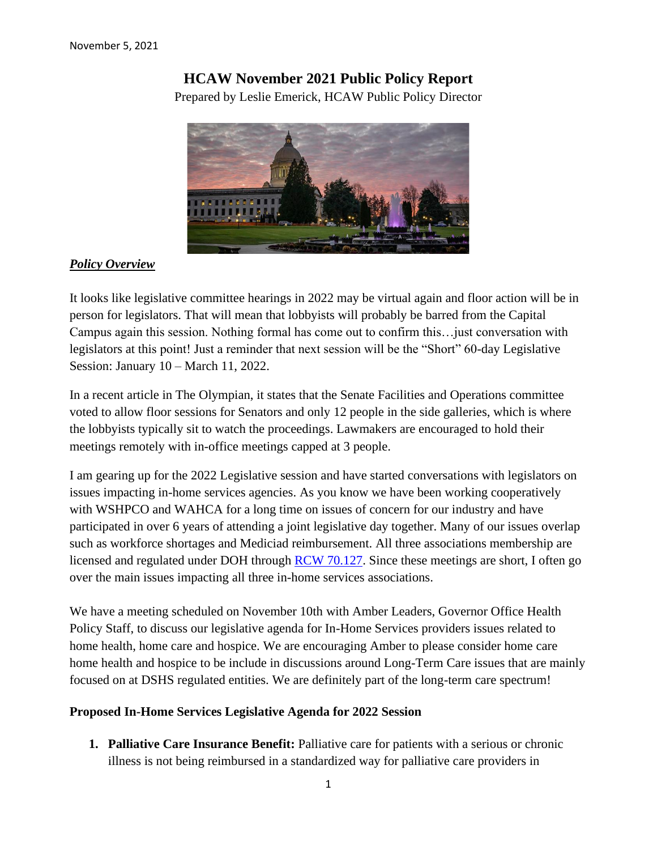# **HCAW November 2021 Public Policy Report**

Prepared by Leslie Emerick, HCAW Public Policy Director



## *Policy Overview*

It looks like legislative committee hearings in 2022 may be virtual again and floor action will be in person for legislators. That will mean that lobbyists will probably be barred from the Capital Campus again this session. Nothing formal has come out to confirm this…just conversation with legislators at this point! Just a reminder that next session will be the "Short" 60-day Legislative Session: January 10 – March 11, 2022.

In a recent article in The Olympian, it states that the Senate Facilities and Operations committee voted to allow floor sessions for Senators and only 12 people in the side galleries, which is where the lobbyists typically sit to watch the proceedings. Lawmakers are encouraged to hold their meetings remotely with in-office meetings capped at 3 people.

I am gearing up for the 2022 Legislative session and have started conversations with legislators on issues impacting in-home services agencies. As you know we have been working cooperatively with WSHPCO and WAHCA for a long time on issues of concern for our industry and have participated in over 6 years of attending a joint legislative day together. Many of our issues overlap such as workforce shortages and Mediciad reimbursement. All three associations membership are licensed and regulated under DOH through **RCW 70.127**. Since these meetings are short, I often go over the main issues impacting all three in-home services associations.

We have a meeting scheduled on November 10th with Amber Leaders, Governor Office Health Policy Staff, to discuss our legislative agenda for In-Home Services providers issues related to home health, home care and hospice. We are encouraging Amber to please consider home care home health and hospice to be include in discussions around Long-Term Care issues that are mainly focused on at DSHS regulated entities. We are definitely part of the long-term care spectrum!

## **Proposed In-Home Services Legislative Agenda for 2022 Session**

**1. Palliative Care Insurance Benefit:** Palliative care for patients with a serious or chronic illness is not being reimbursed in a standardized way for palliative care providers in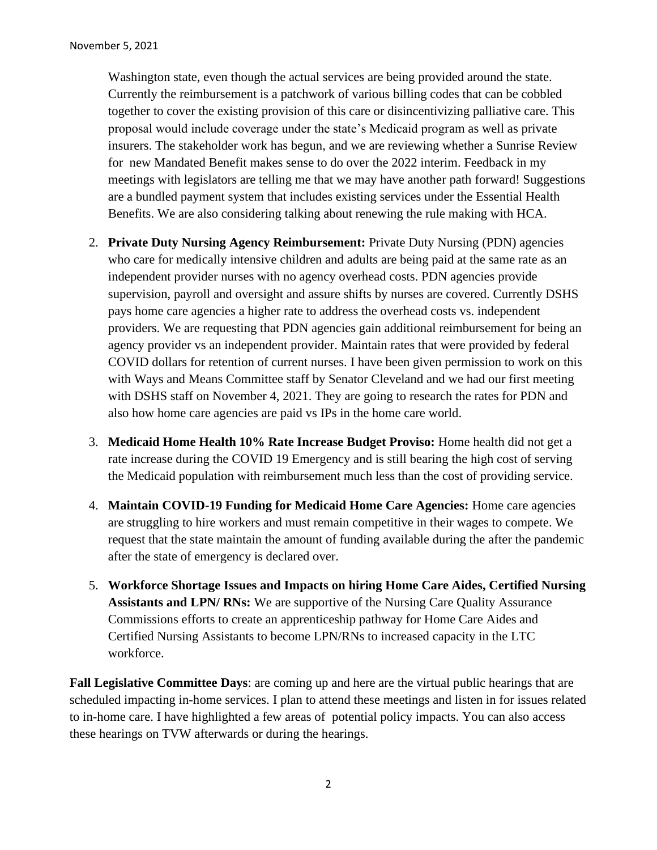Washington state, even though the actual services are being provided around the state. Currently the reimbursement is a patchwork of various billing codes that can be cobbled together to cover the existing provision of this care or disincentivizing palliative care. This proposal would include coverage under the state's Medicaid program as well as private insurers. The stakeholder work has begun, and we are reviewing whether a Sunrise Review for new Mandated Benefit makes sense to do over the 2022 interim. Feedback in my meetings with legislators are telling me that we may have another path forward! Suggestions are a bundled payment system that includes existing services under the Essential Health Benefits. We are also considering talking about renewing the rule making with HCA.

- 2. **Private Duty Nursing Agency Reimbursement:** Private Duty Nursing (PDN) agencies who care for medically intensive children and adults are being paid at the same rate as an independent provider nurses with no agency overhead costs. PDN agencies provide supervision, payroll and oversight and assure shifts by nurses are covered. Currently DSHS pays home care agencies a higher rate to address the overhead costs vs. independent providers. We are requesting that PDN agencies gain additional reimbursement for being an agency provider vs an independent provider. Maintain rates that were provided by federal COVID dollars for retention of current nurses. I have been given permission to work on this with Ways and Means Committee staff by Senator Cleveland and we had our first meeting with DSHS staff on November 4, 2021. They are going to research the rates for PDN and also how home care agencies are paid vs IPs in the home care world.
- 3. **Medicaid Home Health 10% Rate Increase Budget Proviso:** Home health did not get a rate increase during the COVID 19 Emergency and is still bearing the high cost of serving the Medicaid population with reimbursement much less than the cost of providing service.
- 4. **Maintain COVID-19 Funding for Medicaid Home Care Agencies:** Home care agencies are struggling to hire workers and must remain competitive in their wages to compete. We request that the state maintain the amount of funding available during the after the pandemic after the state of emergency is declared over.
- 5. **Workforce Shortage Issues and Impacts on hiring Home Care Aides, Certified Nursing Assistants and LPN/ RNs:** We are supportive of the Nursing Care Quality Assurance Commissions efforts to create an apprenticeship pathway for Home Care Aides and Certified Nursing Assistants to become LPN/RNs to increased capacity in the LTC workforce.

**Fall Legislative Committee Days**: are coming up and here are the virtual public hearings that are scheduled impacting in-home services. I plan to attend these meetings and listen in for issues related to in-home care. I have highlighted a few areas of potential policy impacts. You can also access these hearings on TVW afterwards or during the hearings.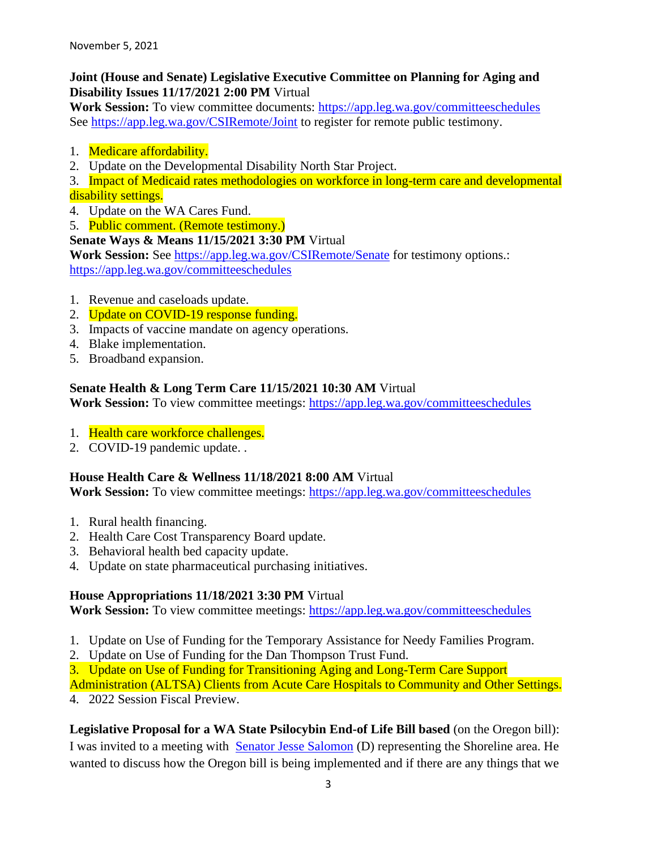## **Joint (House and Senate) Legislative Executive Committee on Planning for Aging and Disability Issues 11/17/2021 2:00 PM** Virtual

**Work Session:** To view committee documents: [https://app.leg.wa.gov/committeeschedules](https://lnks.gd/l/eyJhbGciOiJIUzI1NiJ9.eyJidWxsZXRpbl9saW5rX2lkIjoxMzQsInVyaSI6ImJwMjpjbGljayIsImJ1bGxldGluX2lkIjoiMjAyMTEwMjcuNDc5OTY5NjEiLCJ1cmwiOiJodHRwczovL2FwcC5sZWcud2EuZ292L2NvbW1pdHRlZXNjaGVkdWxlcyJ9.xSOc5zNnnos1nR8iJ3K1wV3PI_d3IFIg9ftmzzAteB4/s/961433114/br/114765635937-l) See [https://app.leg.wa.gov/CSIRemote/Joint](https://lnks.gd/l/eyJhbGciOiJIUzI1NiJ9.eyJidWxsZXRpbl9saW5rX2lkIjoxMzUsInVyaSI6ImJwMjpjbGljayIsImJ1bGxldGluX2lkIjoiMjAyMTEwMjcuNDc5OTY5NjEiLCJ1cmwiOiJodHRwczovL2FwcC5sZWcud2EuZ292L0NTSVJlbW90ZS9Kb2ludCJ9.IyYjA8NiY5eazN7olT5d5ypBbOIKz_o45OFI2Espo50/s/961433114/br/114765635937-l) to register for remote public testimony.

- 1. Medicare affordability.
- 2. Update on the Developmental Disability North Star Project.

3. Impact of Medicaid rates methodologies on workforce in long-term care and developmental disability settings.

- 4. Update on the WA Cares Fund.
- 5. Public comment. (Remote testimony.)

## **Senate Ways & Means 11/15/2021 3:30 PM** Virtual

**Work Session:** See [https://app.leg.wa.gov/CSIRemote/Senate](https://lnks.gd/l/eyJhbGciOiJIUzI1NiJ9.eyJidWxsZXRpbl9saW5rX2lkIjoxMjYsInVyaSI6ImJwMjpjbGljayIsImJ1bGxldGluX2lkIjoiMjAyMTEwMjcuNDc5OTY5NjEiLCJ1cmwiOiJodHRwczovL2FwcC5sZWcud2EuZ292L0NTSVJlbW90ZS9TZW5hdGUifQ._Kgf-SbWo4rzf9ttV7fCW23_wKBNvcir9q7ZYBs0zbU/s/961433114/br/114765635937-l) for testimony options.: [https://app.leg.wa.gov/committeeschedules](https://lnks.gd/l/eyJhbGciOiJIUzI1NiJ9.eyJidWxsZXRpbl9saW5rX2lkIjoxMjcsInVyaSI6ImJwMjpjbGljayIsImJ1bGxldGluX2lkIjoiMjAyMTEwMjcuNDc5OTY5NjEiLCJ1cmwiOiJodHRwczovL2FwcC5sZWcud2EuZ292L2NvbW1pdHRlZXNjaGVkdWxlcyJ9.HuChOhp7inFXnQmeCFbPn8evsE5cGmGhwMy6HXfe87A/s/961433114/br/114765635937-l)

- 1. Revenue and caseloads update.
- 2. Update on COVID-19 response funding.
- 3. Impacts of vaccine mandate on agency operations.
- 4. Blake implementation.
- 5. Broadband expansion.

## **Senate Health & Long Term Care 11/15/2021 10:30 AM** Virtual

**Work Session:** To view committee meetings: [https://app.leg.wa.gov/committeeschedules](https://lnks.gd/l/eyJhbGciOiJIUzI1NiJ9.eyJidWxsZXRpbl9saW5rX2lkIjoxMTIsInVyaSI6ImJwMjpjbGljayIsImJ1bGxldGluX2lkIjoiMjAyMTEwMjcuNDc5OTY5NjEiLCJ1cmwiOiJodHRwczovL2FwcC5sZWcud2EuZ292L2NvbW1pdHRlZXNjaGVkdWxlcyJ9.4-cMdP3P0FUTEvnC5ub8qdVzSA5zhDOjz7oj6GjINi0/s/961433114/br/114765635937-l)

- 1. Health care workforce challenges.
- 2. COVID-19 pandemic update. .

## **House Health Care & Wellness 11/18/2021 8:00 AM** Virtual

**Work Session:** To view committee meetings: [https://app.leg.wa.gov/committeeschedules](https://lnks.gd/l/eyJhbGciOiJIUzI1NiJ9.eyJidWxsZXRpbl9saW5rX2lkIjoxMTIsInVyaSI6ImJwMjpjbGljayIsImJ1bGxldGluX2lkIjoiMjAyMTEwMjcuNDc5OTY4ODEiLCJ1cmwiOiJodHRwczovL2FwcC5sZWcud2EuZ292L2NvbW1pdHRlZXNjaGVkdWxlcyJ9.Bk3-rXlODxCKNmHbpMxnyXduN2ONgo_Z-2ouelkjB2k/s/961433114/br/114761192899-l)

- 1. Rural health financing.
- 2. Health Care Cost Transparency Board update.
- 3. Behavioral health bed capacity update.
- 4. Update on state pharmaceutical purchasing initiatives.

## **House Appropriations 11/18/2021 3:30 PM** Virtual

**Work Session:** To view committee meetings: [https://app.leg.wa.gov/committeeschedules](https://lnks.gd/l/eyJhbGciOiJIUzI1NiJ9.eyJidWxsZXRpbl9saW5rX2lkIjoxMDEsInVyaSI6ImJwMjpjbGljayIsImJ1bGxldGluX2lkIjoiMjAyMTEwMjcuNDc5OTY4ODEiLCJ1cmwiOiJodHRwczovL2FwcC5sZWcud2EuZ292L2NvbW1pdHRlZXNjaGVkdWxlcyJ9.Fm31Xo3OkSzd4OgQ8T19_NHcYeWguKAsxH4wwXD-pdY/s/961433114/br/114761192899-l)

- 1. Update on Use of Funding for the Temporary Assistance for Needy Families Program.
- 2. Update on Use of Funding for the Dan Thompson Trust Fund.
- 3. Update on Use of Funding for Transitioning Aging and Long-Term Care Support

Administration (ALTSA) Clients from Acute Care Hospitals to Community and Other Settings. 4. 2022 Session Fiscal Preview.

**Legislative Proposal for a WA State Psilocybin End-of Life Bill based** (on the Oregon bill): I was invited to a meeting with [Senator Jesse Salomon](https://senatedemocrats.wa.gov/salomon/) (D) representing the Shoreline area. He wanted to discuss how the Oregon bill is being implemented and if there are any things that we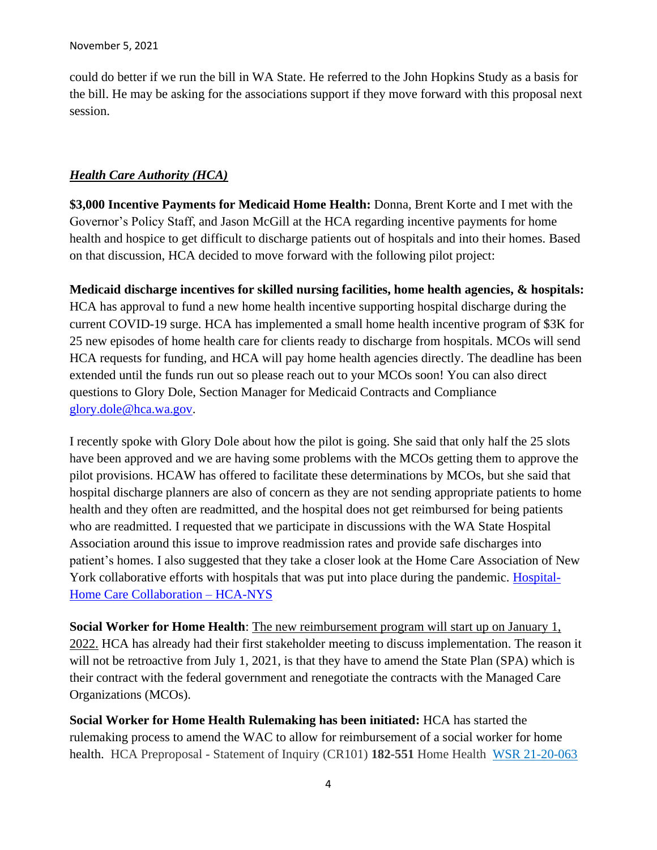could do better if we run the bill in WA State. He referred to the John Hopkins Study as a basis for the bill. He may be asking for the associations support if they move forward with this proposal next session.

### *Health Care Authority (HCA)*

**\$3,000 Incentive Payments for Medicaid Home Health:** Donna, Brent Korte and I met with the Governor's Policy Staff, and Jason McGill at the HCA regarding incentive payments for home health and hospice to get difficult to discharge patients out of hospitals and into their homes. Based on that discussion, HCA decided to move forward with the following pilot project:

**Medicaid discharge incentives for skilled nursing facilities, home health agencies, & hospitals:**  HCA has approval to fund a new home health incentive supporting hospital discharge during the current COVID-19 surge. HCA has implemented a small home health incentive program of \$3K for 25 new episodes of home health care for clients ready to discharge from hospitals. MCOs will send HCA requests for funding, and HCA will pay home health agencies directly. The deadline has been extended until the funds run out so please reach out to your MCOs soon! You can also direct questions to Glory Dole, Section Manager for Medicaid Contracts and Compliance [glory.dole@hca.wa.gov.](mailto:glory.dole@hca.wa.gov)

I recently spoke with Glory Dole about how the pilot is going. She said that only half the 25 slots have been approved and we are having some problems with the MCOs getting them to approve the pilot provisions. HCAW has offered to facilitate these determinations by MCOs, but she said that hospital discharge planners are also of concern as they are not sending appropriate patients to home health and they often are readmitted, and the hospital does not get reimbursed for being patients who are readmitted. I requested that we participate in discussions with the WA State Hospital Association around this issue to improve readmission rates and provide safe discharges into patient's homes. I also suggested that they take a closer look at the Home Care Association of New York collaborative efforts with hospitals that was put into place during the pandemic. [Hospital-](https://gcc02.safelinks.protection.outlook.com/?url=https%3A%2F%2Fhca-nys.org%2Fstatewide-hospital-home-care-collaborative&data=04%7C01%7Cglory.dole%40hca.wa.gov%7C9820aa633d0a4b0f4e4908d9a078b371%7C11d0e217264e400a8ba057dcc127d72d%7C0%7C0%7C637717263159234500%7CUnknown%7CTWFpbGZsb3d8eyJWIjoiMC4wLjAwMDAiLCJQIjoiV2luMzIiLCJBTiI6Ik1haWwiLCJXVCI6Mn0%3D%7C0&sdata=kc0yH8qVBtne0YaDTcYNx48XTnh3p03242dnznDspjA%3D&reserved=0)[Home Care Collaboration –](https://gcc02.safelinks.protection.outlook.com/?url=https%3A%2F%2Fhca-nys.org%2Fstatewide-hospital-home-care-collaborative&data=04%7C01%7Cglory.dole%40hca.wa.gov%7C9820aa633d0a4b0f4e4908d9a078b371%7C11d0e217264e400a8ba057dcc127d72d%7C0%7C0%7C637717263159234500%7CUnknown%7CTWFpbGZsb3d8eyJWIjoiMC4wLjAwMDAiLCJQIjoiV2luMzIiLCJBTiI6Ik1haWwiLCJXVCI6Mn0%3D%7C0&sdata=kc0yH8qVBtne0YaDTcYNx48XTnh3p03242dnznDspjA%3D&reserved=0) HCA-NYS

**Social Worker for Home Health**: The new reimbursement program will start up on January 1, 2022. HCA has already had their first stakeholder meeting to discuss implementation. The reason it will not be retroactive from July 1, 2021, is that they have to amend the State Plan (SPA) which is their contract with the federal government and renegotiate the contracts with the Managed Care Organizations (MCOs).

**Social Worker for Home Health Rulemaking has been initiated:** HCA has started the rulemaking process to amend the WAC to allow for reimbursement of a social worker for home health. HCA Preproposal - Statement of Inquiry (CR101) **182-551** Home Health [WSR 21-20-063](https://lnks.gd/l/eyJhbGciOiJIUzI1NiJ9.eyJidWxsZXRpbl9saW5rX2lkIjoxMDUsInVyaSI6ImJwMjpjbGljayIsImJ1bGxldGluX2lkIjoiMjAyMTEwMTEuNDcxOTcwMzEiLCJ1cmwiOiJodHRwczovL3d3dy5oY2Eud2EuZ292L2Fzc2V0cy8xMDEtMjEtMjAtMDYzLnBkZiJ9.HPHMZ7_img0pY_jQbx7yZRgyrwmpx-IL4d_lNt-IoyM/s/1807707848/br/113727131866-l)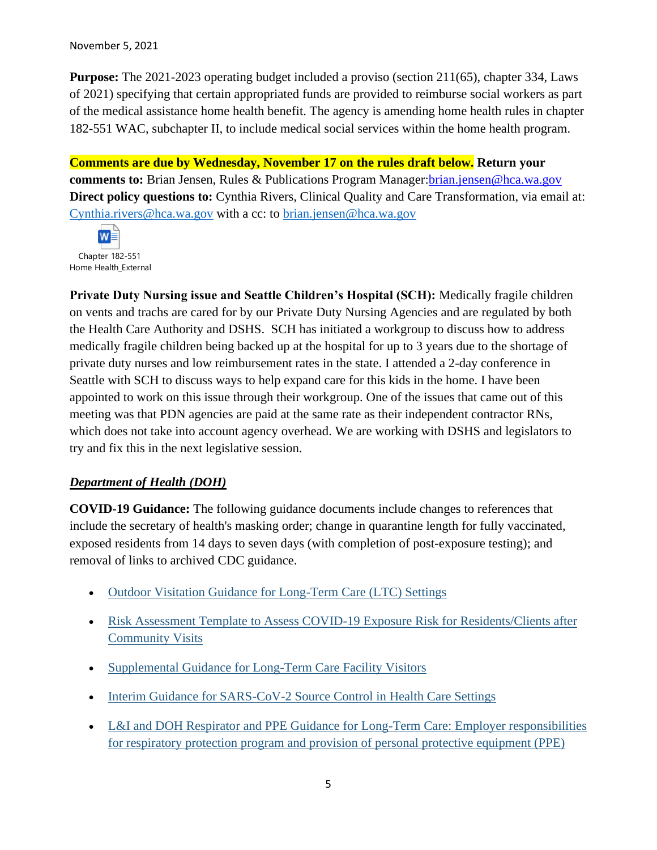#### November 5, 2021

**Purpose:** The 2021-2023 operating budget included a proviso (section 211(65), chapter 334, Laws of 2021) specifying that certain appropriated funds are provided to reimburse social workers as part of the medical assistance home health benefit. The agency is amending home health rules in chapter 182-551 WAC, subchapter II, to include medical social services within the home health program.

**Comments are due by Wednesday, November 17 on the rules draft below. Return your comments to:** Brian Jensen, Rules & Publications Program Manager: brian.jensen@hca.wa.gov **Direct policy questions to:** Cynthia Rivers, Clinical Quality and Care Transformation, via email at: [Cynthia.rivers@hca.wa.gov](mailto:Cynthia.rivers@hca.wa.gov) with a cc: to [brian.jensen@hca.wa.gov](mailto:brian.jensen@hca.wa.gov)



**Private Duty Nursing issue and Seattle Children's Hospital (SCH):** Medically fragile children on vents and trachs are cared for by our Private Duty Nursing Agencies and are regulated by both the Health Care Authority and DSHS. SCH has initiated a workgroup to discuss how to address medically fragile children being backed up at the hospital for up to 3 years due to the shortage of private duty nurses and low reimbursement rates in the state. I attended a 2-day conference in Seattle with SCH to discuss ways to help expand care for this kids in the home. I have been appointed to work on this issue through their workgroup. One of the issues that came out of this meeting was that PDN agencies are paid at the same rate as their independent contractor RNs, which does not take into account agency overhead. We are working with DSHS and legislators to try and fix this in the next legislative session.

## *Department of Health (DOH)*

**COVID-19 Guidance:** The following guidance documents include changes to references that include the secretary of health's masking order; change in quarantine length for fully vaccinated, exposed residents from 14 days to seven days (with completion of post-exposure testing); and removal of links to archived CDC guidance.

- [Outdoor Visitation Guidance for Long-Term Care \(LTC\) Settings](https://lnks.gd/l/eyJhbGciOiJIUzI1NiJ9.eyJidWxsZXRpbl9saW5rX2lkIjoxMDUsInVyaSI6ImJwMjpjbGljayIsImJ1bGxldGluX2lkIjoiMjAyMTExMDUuNDg0MTU0NTEiLCJ1cmwiOiJodHRwczovL2djYzAyLnNhZmVsaW5rcy5wcm90ZWN0aW9uLm91dGxvb2suY29tLz91cmw9aHR0cHMlM0ElMkYlMkZ3d3cuZG9oLndhLmdvdiUyRlBvcnRhbHMlMkYxJTJGRG9jdW1lbnRzJTJGMTYwMCUyRmNvcm9uYXZpcnVzJTJGTFRDT3V0c2lkZVZpc2l0LnBkZiZkYXRhPTA0JTdDMDElN0NDaW5keS5NYXJqYW1hYSU0MERPSC5XQS5HT1YlN0M2MWRlMzZlODQ3MTE0ODAwNTIwMjA4ZDk5ZmQxYjZkYyU3QzExZDBlMjE3MjY0ZTQwMGE4YmEwNTdkY2MxMjdkNzJkJTdDMCU3QzAlN0M2Mzc3MTY1NDUzMjkwOTM3NjklN0NVbmtub3duJTdDVFdGcGJHWnNiM2Q4ZXlKV0lqb2lNQzR3TGpBd01EQWlMQ0pRSWpvaVYybHVNeklpTENKQlRpSTZJazFoYVd3aUxDSlhWQ0k2TW4wJTNEJTdDMTAwMCZzZGF0YT0lMkZRbHlwQ3pPcGlsdjBXYnBVeTZSMFRpaEJCeGFmZTBNWHZ3aVFxNXJKaVklM0QmcmVzZXJ2ZWQ9MCJ9.4ksxfDnGBdolL_b8C6hc4GEJqSIvu4vpVo4tZEe12rk/s/717258116/br/118111920600-l)
- [Risk Assessment Template to Assess COVID-19 Exposure Risk for Residents/Clients after](https://lnks.gd/l/eyJhbGciOiJIUzI1NiJ9.eyJidWxsZXRpbl9saW5rX2lkIjoxMDYsInVyaSI6ImJwMjpjbGljayIsImJ1bGxldGluX2lkIjoiMjAyMTExMDUuNDg0MTU0NTEiLCJ1cmwiOiJodHRwczovL2djYzAyLnNhZmVsaW5rcy5wcm90ZWN0aW9uLm91dGxvb2suY29tLz91cmw9aHR0cHMlM0ElMkYlMkZ3d3cuZG9oLndhLmdvdiUyRlBvcnRhbHMlMkYxJTJGRG9jdW1lbnRzJTJGMTYwMCUyRmNvcm9uYXZpcnVzJTJGcmlza2Fzc2Vzc21lbnRfY29tbXVuaXR5dmlzaXQucGRmJmRhdGE9MDQlN0MwMSU3Q0NpbmR5Lk1hcmphbWFhJTQwRE9ILldBLkdPViU3QzYxZGUzNmU4NDcxMTQ4MDA1MjAyMDhkOTlmZDFiNmRjJTdDMTFkMGUyMTcyNjRlNDAwYThiYTA1N2RjYzEyN2Q3MmQlN0MwJTdDMCU3QzYzNzcxNjU0NTMyOTA5Mzc2OSU3Q1Vua25vd24lN0NUV0ZwYkdac2IzZDhleUpXSWpvaU1DNHdMakF3TURBaUxDSlFJam9pVjJsdU16SWlMQ0pCVGlJNklrMWhhV3dpTENKWFZDSTZNbjAlM0QlN0MxMDAwJnNkYXRhPXVwYk90bFZVTFQ4ZXMyJTJCQ3o4YmN0Q0ZFWnZTVTVwbHN3SGpXcDh4UzJnOCUzRCZyZXNlcnZlZD0wIn0.JkHIUvVyFsLHN8vVdcD-W2fOjv5czPAusx9aOsVcMX0/s/717258116/br/118111920600-l)  [Community Visits](https://lnks.gd/l/eyJhbGciOiJIUzI1NiJ9.eyJidWxsZXRpbl9saW5rX2lkIjoxMDYsInVyaSI6ImJwMjpjbGljayIsImJ1bGxldGluX2lkIjoiMjAyMTExMDUuNDg0MTU0NTEiLCJ1cmwiOiJodHRwczovL2djYzAyLnNhZmVsaW5rcy5wcm90ZWN0aW9uLm91dGxvb2suY29tLz91cmw9aHR0cHMlM0ElMkYlMkZ3d3cuZG9oLndhLmdvdiUyRlBvcnRhbHMlMkYxJTJGRG9jdW1lbnRzJTJGMTYwMCUyRmNvcm9uYXZpcnVzJTJGcmlza2Fzc2Vzc21lbnRfY29tbXVuaXR5dmlzaXQucGRmJmRhdGE9MDQlN0MwMSU3Q0NpbmR5Lk1hcmphbWFhJTQwRE9ILldBLkdPViU3QzYxZGUzNmU4NDcxMTQ4MDA1MjAyMDhkOTlmZDFiNmRjJTdDMTFkMGUyMTcyNjRlNDAwYThiYTA1N2RjYzEyN2Q3MmQlN0MwJTdDMCU3QzYzNzcxNjU0NTMyOTA5Mzc2OSU3Q1Vua25vd24lN0NUV0ZwYkdac2IzZDhleUpXSWpvaU1DNHdMakF3TURBaUxDSlFJam9pVjJsdU16SWlMQ0pCVGlJNklrMWhhV3dpTENKWFZDSTZNbjAlM0QlN0MxMDAwJnNkYXRhPXVwYk90bFZVTFQ4ZXMyJTJCQ3o4YmN0Q0ZFWnZTVTVwbHN3SGpXcDh4UzJnOCUzRCZyZXNlcnZlZD0wIn0.JkHIUvVyFsLHN8vVdcD-W2fOjv5czPAusx9aOsVcMX0/s/717258116/br/118111920600-l)
- [Supplemental Guidance for Long-Term Care Facility Visitors](https://lnks.gd/l/eyJhbGciOiJIUzI1NiJ9.eyJidWxsZXRpbl9saW5rX2lkIjoxMDcsInVyaSI6ImJwMjpjbGljayIsImJ1bGxldGluX2lkIjoiMjAyMTExMDUuNDg0MTU0NTEiLCJ1cmwiOiJodHRwczovL2djYzAyLnNhZmVsaW5rcy5wcm90ZWN0aW9uLm91dGxvb2suY29tLz91cmw9aHR0cHMlM0ElMkYlMkZ3d3cuZG9oLndhLmdvdiUyRlBvcnRhbHMlMkYxJTJGRG9jdW1lbnRzJTJGMTYwMCUyRmNvcm9uYXZpcnVzJTJGVmlzaXRvcnNMb2cucGRmJmRhdGE9MDQlN0MwMSU3Q0NpbmR5Lk1hcmphbWFhJTQwRE9ILldBLkdPViU3QzYxZGUzNmU4NDcxMTQ4MDA1MjAyMDhkOTlmZDFiNmRjJTdDMTFkMGUyMTcyNjRlNDAwYThiYTA1N2RjYzEyN2Q3MmQlN0MwJTdDMCU3QzYzNzcxNjU0NTMyOTEwMzcyNCU3Q1Vua25vd24lN0NUV0ZwYkdac2IzZDhleUpXSWpvaU1DNHdMakF3TURBaUxDSlFJam9pVjJsdU16SWlMQ0pCVGlJNklrMWhhV3dpTENKWFZDSTZNbjAlM0QlN0MxMDAwJnNkYXRhPXVTTklJcUpRRW5ZS01GQTdRdWMlMkJqMElQNUtRdTV2SVFlWXp5N2FjREpVYyUzRCZyZXNlcnZlZD0wIn0.gdpU5qmsaUQMeSMkdAEd0wAqsQ8SSnKNkEyigq9DnHk/s/717258116/br/118111920600-l)
- [Interim Guidance for SARS-CoV-2 Source Control in Health Care Settings](https://lnks.gd/l/eyJhbGciOiJIUzI1NiJ9.eyJidWxsZXRpbl9saW5rX2lkIjoxMDgsInVyaSI6ImJwMjpjbGljayIsImJ1bGxldGluX2lkIjoiMjAyMTExMDUuNDg0MTU0NTEiLCJ1cmwiOiJodHRwczovL2djYzAyLnNhZmVsaW5rcy5wcm90ZWN0aW9uLm91dGxvb2suY29tLz91cmw9aHR0cHMlM0ElMkYlMkZ3d3cuZG9oLndhLmdvdiUyRlBvcnRhbHMlMkYxJTJGRG9jdW1lbnRzJTJGMTYwMCUyRmNvcm9uYXZpcnVzJTJGNjMxLTEwMC1Tb3VyY2VDb250cm9sSGVhbHRoY2FyZS5wZGYmZGF0YT0wNCU3QzAxJTdDQ2luZHkuTWFyamFtYWElNDBET0guV0EuR09WJTdDNjFkZTM2ZTg0NzExNDgwMDUyMDIwOGQ5OWZkMWI2ZGMlN0MxMWQwZTIxNzI2NGU0MDBhOGJhMDU3ZGNjMTI3ZDcyZCU3QzAlN0MwJTdDNjM3NzE2NTQ1MzI5MTAzNzI0JTdDVW5rbm93biU3Q1RXRnBiR1pzYjNkOGV5SldJam9pTUM0d0xqQXdNREFpTENKUUlqb2lWMmx1TXpJaUxDSkJUaUk2SWsxaGFXd2lMQ0pYVkNJNk1uMCUzRCU3QzEwMDAmc2RhdGE9c2M5d0p2b1FQSWpINGo0Qkozam9FcXpYWXFJMFlCeGRaN2p1bXFUdHdyYyUzRCZyZXNlcnZlZD0wIn0.mnIH8r0ekXmN3cVtD8SOyAE4n1U9FslIZLuuIce6PZM/s/717258116/br/118111920600-l)
- L&I and DOH Respirator and PPE Guidance for Long-Term Care: Employer responsibilities [for respiratory protection program and provision of personal protective equipment \(PPE\)](https://lnks.gd/l/eyJhbGciOiJIUzI1NiJ9.eyJidWxsZXRpbl9saW5rX2lkIjoxMDksInVyaSI6ImJwMjpjbGljayIsImJ1bGxldGluX2lkIjoiMjAyMTExMDUuNDg0MTU0NTEiLCJ1cmwiOiJodHRwczovL3d3dy5kb2gud2EuZ292L1BvcnRhbHMvMS9Eb2N1bWVudHMvMTYwMC9jb3JvbmF2aXJ1cy80MjAtMzI4LVJlc3BpcmF0b3JQUEVMb25nVGVybUNhcmUucGRmIn0.TEGlUd_0CblEhGNi_gudjDeuiZWvFug9vos2vuP4xo4/s/717258116/br/118111920600-l)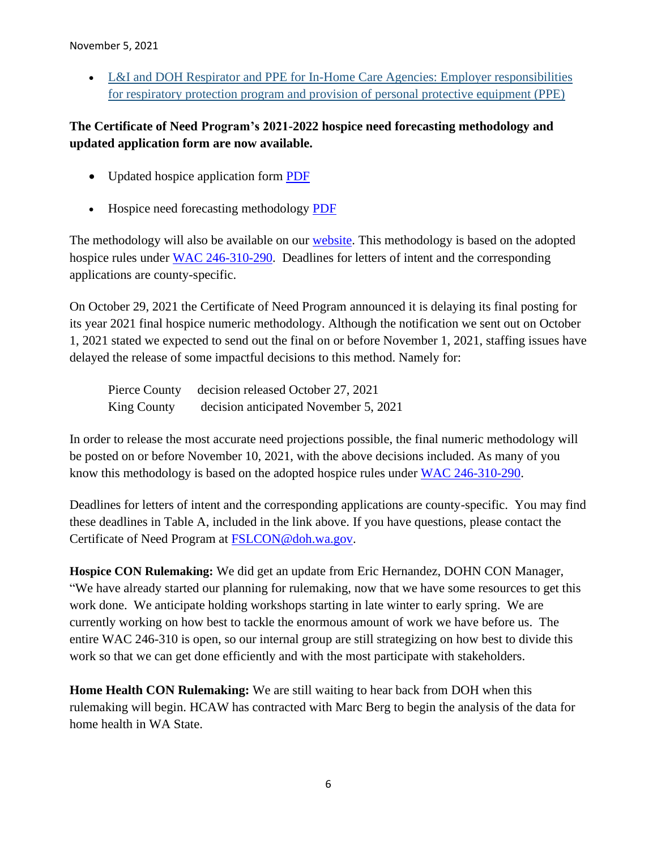#### November 5, 2021

• L&I and DOH Respirator and PPE for In-Home Care Agencies: Employer responsibilities [for respiratory protection program and provision of personal protective equipment \(PPE\)](https://lnks.gd/l/eyJhbGciOiJIUzI1NiJ9.eyJidWxsZXRpbl9saW5rX2lkIjoxMTAsInVyaSI6ImJwMjpjbGljayIsImJ1bGxldGluX2lkIjoiMjAyMTExMDUuNDg0MTU0NTEiLCJ1cmwiOiJodHRwczovL2djYzAyLnNhZmVsaW5rcy5wcm90ZWN0aW9uLm91dGxvb2suY29tLz91cmw9aHR0cHMlM0ElMkYlMkZ3d3cuZG9oLndhLmdvdiUyRlBvcnRhbHMlMkYxJTJGRG9jdW1lbnRzJTJGMTYwMCUyRmNvcm9uYXZpcnVzJTJGNDIwLTMyOS1SZXNwaXJhdG9yUFBFSW5Ib21lQ2FyZS5wZGYmZGF0YT0wNCU3QzAxJTdDQ2luZHkuTWFyamFtYWElNDBET0guV0EuR09WJTdDNjFkZTM2ZTg0NzExNDgwMDUyMDIwOGQ5OWZkMWI2ZGMlN0MxMWQwZTIxNzI2NGU0MDBhOGJhMDU3ZGNjMTI3ZDcyZCU3QzAlN0MwJTdDNjM3NzE2NTQ1MzI5MTEzNjgyJTdDVW5rbm93biU3Q1RXRnBiR1pzYjNkOGV5SldJam9pTUM0d0xqQXdNREFpTENKUUlqb2lWMmx1TXpJaUxDSkJUaUk2SWsxaGFXd2lMQ0pYVkNJNk1uMCUzRCU3QzEwMDAmc2RhdGE9MUlPeGkwVk9sbUxFQVFhSVk2SnZqc2hnb2ZrJTJGcHVJZ1lYd0pSbXJIYnlBJTNEJnJlc2VydmVkPTAifQ._Nz-_zk3ltGnryjTwZvKjmwWGET_s_HUaEDxmR86T5w/s/717258116/br/118111920600-l)

## **The Certificate of Need Program's 2021-2022 hospice need forecasting methodology and updated application form are now available.**

- Updated hospice application form [PDF](https://lnks.gd/l/eyJhbGciOiJIUzI1NiJ9.eyJidWxsZXRpbl9saW5rX2lkIjoxMDAsInVyaSI6ImJwMjpjbGljayIsImJ1bGxldGluX2lkIjoiMjAyMTEwMDEuNDY3OTI4NTEiLCJ1cmwiOiJodHRwczovL2djYzAyLnNhZmVsaW5rcy5wcm90ZWN0aW9uLm91dGxvb2suY29tLz91cmw9aHR0cHMlM0ElMkYlMkZ3d3cuZG9oLndhLmdvdiUyRlBvcnRhbHMlMkYxJTJGRG9jdW1lbnRzJTJGMjMwMCUyRjIwMjAlMkZIb3NwaWNlQXBwbGljYXRpb24ucGRmJmRhdGE9MDQlN0MwMSU3Q0FsZWphbmRyby5MZSU0MGRvaC53YS5nb3YlN0M5ZGYwZjM0MWNlMjM0Y2U1NjkzZTA4ZDk4NTMxOTRlMCU3QzExZDBlMjE3MjY0ZTQwMGE4YmEwNTdkY2MxMjdkNzJkJTdDMCU3QzAlN0M2Mzc2ODcyNzAyNTY3OTEyNTglN0NVbmtub3duJTdDVFdGcGJHWnNiM2Q4ZXlKV0lqb2lNQzR3TGpBd01EQWlMQ0pRSWpvaVYybHVNeklpTENKQlRpSTZJazFoYVd3aUxDSlhWQ0k2TW4wJTNEJTdDMTAwMCZzZGF0YT12S2VsdEZkTFlYSTdaSE1rJTJGY0MyVUxBT0RzUnJNTGM0bklMYlh6QWhCRHclM0QmcmVzZXJ2ZWQ9MCJ9.pGU7uTkIvXtS3Yx2uJ95rT1awwyZEz0Qc_qAzLqPbzI/s/717258116/br/113285427722-l)
- Hospice need forecasting methodology [PDF](https://lnks.gd/l/eyJhbGciOiJIUzI1NiJ9.eyJidWxsZXRpbl9saW5rX2lkIjoxMDEsInVyaSI6ImJwMjpjbGljayIsImJ1bGxldGluX2lkIjoiMjAyMTEwMDEuNDY3OTI4NTEiLCJ1cmwiOiJodHRwczovL2djYzAyLnNhZmVsaW5rcy5wcm90ZWN0aW9uLm91dGxvb2suY29tLz91cmw9aHR0cHMlM0ElMkYlMkZkb2hjcnMuYm94LmNvbSUyRnMlMkYwMDFpZ2JzdTVxOWowd2dpd2d3aGFocWwyMDVheTIxZiZkYXRhPTA0JTdDMDElN0NBbGVqYW5kcm8uTGUlNDBkb2gud2EuZ292JTdDOWRmMGYzNDFjZTIzNGNlNTY5M2UwOGQ5ODUzMTk0ZTAlN0MxMWQwZTIxNzI2NGU0MDBhOGJhMDU3ZGNjMTI3ZDcyZCU3QzAlN0MwJTdDNjM3Njg3MjcwMjU2ODAxMjA5JTdDVW5rbm93biU3Q1RXRnBiR1pzYjNkOGV5SldJam9pTUM0d0xqQXdNREFpTENKUUlqb2lWMmx1TXpJaUxDSkJUaUk2SWsxaGFXd2lMQ0pYVkNJNk1uMCUzRCU3QzEwMDAmc2RhdGE9MTRrVVlvZDV2bUlhSjQ1dlByOEFSaSUyRjc4NWNOOUxIWFlJQVBWNHZ0Y1ZrJTNEJnJlc2VydmVkPTAifQ.K25WYTdjkGedvG3JxgFNCOC5QpyEUB34H4qJMrMY4pE/s/717258116/br/113285427722-l)

The methodology will also be available on our [website.](https://lnks.gd/l/eyJhbGciOiJIUzI1NiJ9.eyJidWxsZXRpbl9saW5rX2lkIjoxMDIsInVyaSI6ImJwMjpjbGljayIsImJ1bGxldGluX2lkIjoiMjAyMTEwMDEuNDY3OTI4NTEiLCJ1cmwiOiJodHRwczovL2djYzAyLnNhZmVsaW5rcy5wcm90ZWN0aW9uLm91dGxvb2suY29tLz91cmw9aHR0cHMlM0ElMkYlMkZ3d3cuZG9oLndhLmdvdiUyRkxpY2Vuc2VzUGVybWl0c2FuZENlcnRpZmljYXRlcyUyRkZhY2lsaXRpZXNOZXdSZW5ld29yVXBkYXRlJTJGQ2VydGlmaWNhdGVvZk5lZWQlMkZOZWVkTWV0aG9kb2xvZ2llcyZkYXRhPTA0JTdDMDElN0NBbGVqYW5kcm8uTGUlNDBkb2gud2EuZ292JTdDOWRmMGYzNDFjZTIzNGNlNTY5M2UwOGQ5ODUzMTk0ZTAlN0MxMWQwZTIxNzI2NGU0MDBhOGJhMDU3ZGNjMTI3ZDcyZCU3QzAlN0MwJTdDNjM3Njg3MjcwMjU2ODExMTY0JTdDVW5rbm93biU3Q1RXRnBiR1pzYjNkOGV5SldJam9pTUM0d0xqQXdNREFpTENKUUlqb2lWMmx1TXpJaUxDSkJUaUk2SWsxaGFXd2lMQ0pYVkNJNk1uMCUzRCU3QzEwMDAmc2RhdGE9N3lldzZyNGNvZmE3RFdJZVRoNFpSYjZaJTJCVExnWlhuc3Z2dDdoTjdRa3RJJTNEJnJlc2VydmVkPTAifQ.pwRgkxmdGjOwj1f4QgBMFQQmic7d03sCU96ID5IgHFc/s/717258116/br/113285427722-l) This methodology is based on the adopted hospice rules under [WAC 246-310-290.](https://lnks.gd/l/eyJhbGciOiJIUzI1NiJ9.eyJidWxsZXRpbl9saW5rX2lkIjoxMDMsInVyaSI6ImJwMjpjbGljayIsImJ1bGxldGluX2lkIjoiMjAyMTEwMDEuNDY3OTI4NTEiLCJ1cmwiOiJodHRwczovL2djYzAyLnNhZmVsaW5rcy5wcm90ZWN0aW9uLm91dGxvb2suY29tLz91cmw9aHR0cHMlM0ElMkYlMkZhcHBzLmxlZy53YS5nb3YlMkZXQUMlMkZkZWZhdWx0LmFzcHglM0ZjaXRlJTNEMjQ2LTMxMC0yOTAmZGF0YT0wNCU3QzAxJTdDQWxlamFuZHJvLkxlJTQwZG9oLndhLmdvdiU3QzlkZjBmMzQxY2UyMzRjZTU2OTNlMDhkOTg1MzE5NGUwJTdDMTFkMGUyMTcyNjRlNDAwYThiYTA1N2RjYzEyN2Q3MmQlN0MwJTdDMCU3QzYzNzY4NzI3MDI1NjgxMTE2NCU3Q1Vua25vd24lN0NUV0ZwYkdac2IzZDhleUpXSWpvaU1DNHdMakF3TURBaUxDSlFJam9pVjJsdU16SWlMQ0pCVGlJNklrMWhhV3dpTENKWFZDSTZNbjAlM0QlN0MxMDAwJnNkYXRhPXVieU1Cc0kxVzVqNENqQlRZMVJyaGFGNFlLNWhCVkJtJTJGNEZuT3RHeU5ZOCUzRCZyZXNlcnZlZD0wIn0.z8BirOf88HMYyaXqVccozRvXyUmSLr6_bsvAaneHRuE/s/717258116/br/113285427722-l) Deadlines for letters of intent and the corresponding applications are county-specific.

On October 29, 2021 the Certificate of Need Program announced it is delaying its final posting for its year 2021 final hospice numeric methodology. Although the notification we sent out on October 1, 2021 stated we expected to send out the final on or before November 1, 2021, staffing issues have delayed the release of some impactful decisions to this method. Namely for:

Pierce County decision released October 27, 2021 King County decision anticipated November 5, 2021

In order to release the most accurate need projections possible, the final numeric methodology will be posted on or before November 10, 2021, with the above decisions included. As many of you know this methodology is based on the adopted hospice rules under [WAC 246-310-290.](https://gcc02.safelinks.protection.outlook.com/?url=https%3A%2F%2Fapps.leg.wa.gov%2FWAC%2Fdefault.aspx%3Fcite%3D246-310-290&data=04%7C01%7CEric.Hernandez%40doh.wa.gov%7C55faeb7d67b74f0e6f5208d99b10d1b3%7C11d0e217264e400a8ba057dcc127d72d%7C0%7C0%7C637711318835124626%7CUnknown%7CTWFpbGZsb3d8eyJWIjoiMC4wLjAwMDAiLCJQIjoiV2luMzIiLCJBTiI6Ik1haWwiLCJXVCI6Mn0%3D%7C1000&sdata=7SUpSzLgRz3ykOViQFgKBVJXbHwRd2CA8SBaPkac68Y%3D&reserved=0)

Deadlines for letters of intent and the corresponding applications are county-specific. You may find these deadlines in Table A, included in the link above. If you have questions, please contact the Certificate of Need Program at **FSLCON@doh.wa.gov.** 

**Hospice CON Rulemaking:** We did get an update from Eric Hernandez, DOHN CON Manager, "We have already started our planning for rulemaking, now that we have some resources to get this work done. We anticipate holding workshops starting in late winter to early spring. We are currently working on how best to tackle the enormous amount of work we have before us. The entire WAC 246-310 is open, so our internal group are still strategizing on how best to divide this work so that we can get done efficiently and with the most participate with stakeholders.

**Home Health CON Rulemaking:** We are still waiting to hear back from DOH when this rulemaking will begin. HCAW has contracted with Marc Berg to begin the analysis of the data for home health in WA State.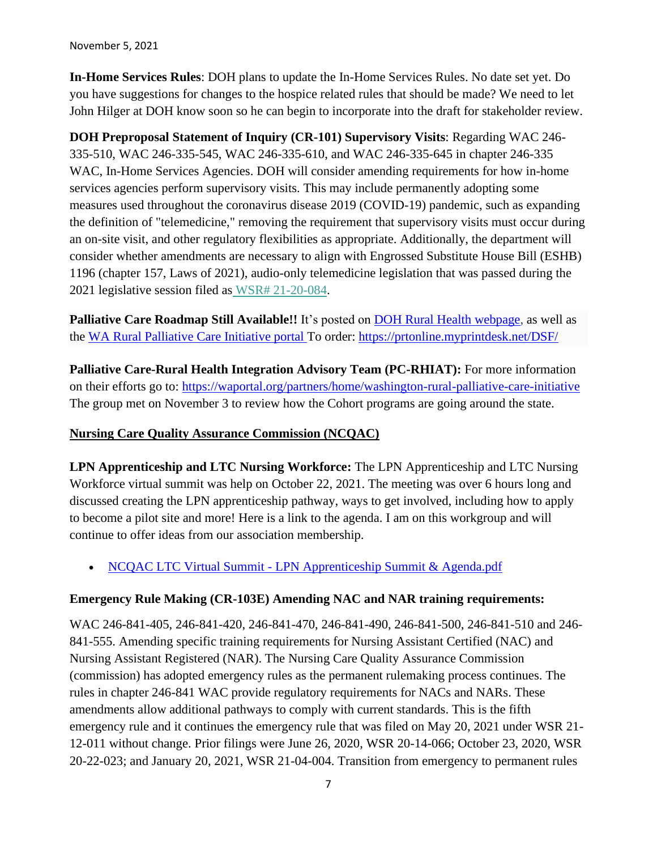November 5, 2021

**In-Home Services Rules**: DOH plans to update the In-Home Services Rules. No date set yet. Do you have suggestions for changes to the hospice related rules that should be made? We need to let John Hilger at DOH know soon so he can begin to incorporate into the draft for stakeholder review.

**DOH Preproposal Statement of Inquiry (CR-101) Supervisory Visits**: Regarding WAC 246- 335-510, WAC 246-335-545, WAC 246-335-610, and WAC 246-335-645 in chapter 246-335 WAC, In-Home Services Agencies. DOH will consider amending requirements for how in-home services agencies perform supervisory visits. This may include permanently adopting some measures used throughout the coronavirus disease 2019 (COVID-19) pandemic, such as expanding the definition of "telemedicine," removing the requirement that supervisory visits must occur during an on-site visit, and other regulatory flexibilities as appropriate. Additionally, the department will consider whether amendments are necessary to align with Engrossed Substitute House Bill (ESHB) 1196 (chapter 157, Laws of 2021), audio-only telemedicine legislation that was passed during the 2021 legislative session filed as [WSR# 21-20-084.](https://lnks.gd/l/eyJhbGciOiJIUzI1NiJ9.eyJidWxsZXRpbl9saW5rX2lkIjoxMDAsInVyaSI6ImJwMjpjbGljayIsImJ1bGxldGluX2lkIjoiMjAyMTEwMTIuNDcyNDE5OTEiLCJ1cmwiOiJodHRwczovL3d3dy5kb2gud2EuZ292L1BvcnRhbHMvMS9Eb2N1bWVudHMvMTEwMC8yMTIwLzIxMjAwODRpbmhvbWVzZXJ2aWNlc3N1cGVydmlzaW9udGVsZW1lZGljaW5lMTAxZmluYWwucGRmIn0.3BlEZF8B2lUovpwigZErgewROMl8cdVUp0GGrXrUcgY/s/717258116/br/113772656853-l)

**Palliative Care Roadmap Still Available!!** It's posted on [DOH Rural Health webpage,](https://www.doh.wa.gov/ForPublicHealthandHealthcareProviders/RuralHealth) as well as the [WA Rural Palliative Care Initiative portal T](https://waportal.org/partners/home/washington-rural-palliative-care-initiative)o order: <https://prtonline.myprintdesk.net/DSF/>

**Palliative Care-Rural Health Integration Advisory Team (PC-RHIAT):** For more information on their efforts go to:<https://waportal.org/partners/home/washington-rural-palliative-care-initiative> The group met on November 3 to review how the Cohort programs are going around the state.

## **Nursing Care Quality Assurance Commission (NCQAC)**

**LPN Apprenticeship and LTC Nursing Workforce:** The LPN Apprenticeship and LTC Nursing Workforce virtual summit was help on October 22, 2021. The meeting was over 6 hours long and discussed creating the LPN apprenticeship pathway, ways to get involved, including how to apply to become a pilot site and more! Here is a link to the agenda. I am on this workgroup and will continue to offer ideas from our association membership.

• NCQAC LTC Virtual Summit - [LPN Apprenticeship Summit & Agenda.pdf](https://lnks.gd/l/eyJhbGciOiJIUzI1NiJ9.eyJidWxsZXRpbl9saW5rX2lkIjoxMDIsInVyaSI6ImJwMjpjbGljayIsImJ1bGxldGluX2lkIjoiMjAyMTEwMTIuNDcxOTk4NTEiLCJ1cmwiOiJodHRwczovL2NvbnRlbnQuZ292ZGVsaXZlcnkuY29tL2F0dGFjaG1lbnRzL1dBRE9ILzIwMjEvMTAvMTEvZmlsZV9hdHRhY2htZW50cy8xOTYyNzM3L05DUUFDJTIwTFRDJTIwVmlydHVhbCUyMFN1bW1pdCUyMC0lMjBMUE4lMjBBcHByZW50aWNlc2hpcCUyMFN1bW1pdCUyMCYlMjBBZ2VuZGEucGRmIn0.9_xqc-sYm9opJakYf7AyDRluYbJugSdJla_6a9vthYc/s/717258116/br/113731358123-l)

## **Emergency Rule Making (CR-103E) Amending NAC and NAR training requirements:**

WAC 246-841-405, 246-841-420, 246-841-470, 246-841-490, 246-841-500, 246-841-510 and 246- 841-555. Amending specific training requirements for Nursing Assistant Certified (NAC) and Nursing Assistant Registered (NAR). The Nursing Care Quality Assurance Commission (commission) has adopted emergency rules as the permanent rulemaking process continues. The rules in chapter 246-841 WAC provide regulatory requirements for NACs and NARs. These amendments allow additional pathways to comply with current standards. This is the fifth emergency rule and it continues the emergency rule that was filed on May 20, 2021 under WSR 21- 12-011 without change. Prior filings were June 26, 2020, WSR 20-14-066; October 23, 2020, WSR 20-22-023; and January 20, 2021, WSR 21-04-004. Transition from emergency to permanent rules